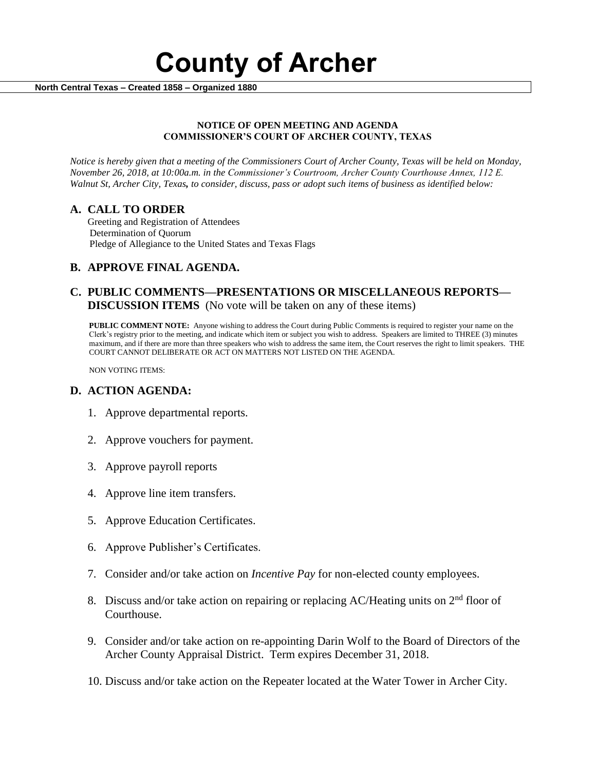# **County of Archer**

 **North Central Texas – Created 1858 – Organized 1880**

#### **NOTICE OF OPEN MEETING AND AGENDA COMMISSIONER'S COURT OF ARCHER COUNTY, TEXAS**

*Notice is hereby given that a meeting of the Commissioners Court of Archer County, Texas will be held on Monday, November 26, 2018, at 10:00a.m. in the Commissioner's Courtroom, Archer County Courthouse Annex, 112 E. Walnut St, Archer City, Texas, to consider, discuss, pass or adopt such items of business as identified below:*

# **A. CALL TO ORDER**

 Greeting and Registration of Attendees Determination of Quorum Pledge of Allegiance to the United States and Texas Flags

# **B. APPROVE FINAL AGENDA.**

# **C. PUBLIC COMMENTS—PRESENTATIONS OR MISCELLANEOUS REPORTS— DISCUSSION ITEMS** (No vote will be taken on any of these items)

**PUBLIC COMMENT NOTE:** Anyone wishing to address the Court during Public Comments is required to register your name on the Clerk's registry prior to the meeting, and indicate which item or subject you wish to address. Speakers are limited to THREE (3) minutes maximum, and if there are more than three speakers who wish to address the same item, the Court reserves the right to limit speakers. THE COURT CANNOT DELIBERATE OR ACT ON MATTERS NOT LISTED ON THE AGENDA.

NON VOTING ITEMS:

### **D. ACTION AGENDA:**

- 1. Approve departmental reports.
- 2. Approve vouchers for payment.
- 3. Approve payroll reports
- 4. Approve line item transfers.
- 5. Approve Education Certificates.
- 6. Approve Publisher's Certificates.
- 7. Consider and/or take action on *Incentive Pay* for non-elected county employees.
- 8. Discuss and/or take action on repairing or replacing AC/Heating units on  $2<sup>nd</sup>$  floor of Courthouse.
- 9. Consider and/or take action on re-appointing Darin Wolf to the Board of Directors of the Archer County Appraisal District. Term expires December 31, 2018.
- 10. Discuss and/or take action on the Repeater located at the Water Tower in Archer City.